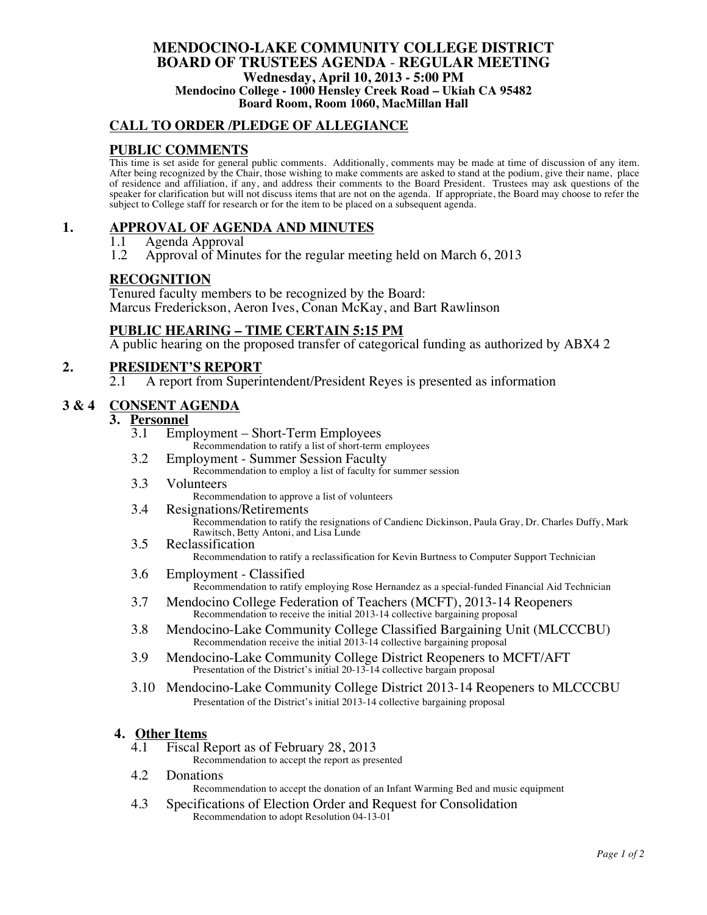#### **MENDOCINO-LAKE COMMUNITY COLLEGE DISTRICT BOARD OF TRUSTEES AGENDA** - **REGULAR MEETING Wednesday, April 10, 2013 - 5:00 PM Mendocino College - 1000 Hensley Creek Road – Ukiah CA 95482 Board Room, Room 1060, MacMillan Hall**

## **CALL TO ORDER /PLEDGE OF ALLEGIANCE**

## **PUBLIC COMMENTS**

This time is set aside for general public comments. Additionally, comments may be made at time of discussion of any item. After being recognized by the Chair, those wishing to make comments are asked to stand at the podium, give their name, place of residence and affiliation, if any, and address their comments to the Board President. Trustees may ask questions of the speaker for clarification but will not discuss items that are not on the agenda. If appropriate, the Board may choose to refer the subject to College staff for research or for the item to be placed on a subsequent agenda.

## **1. APPROVAL OF AGENDA AND MINUTES**

- 1.1 Agenda Approval<br>1.2 Approval of Minu
- 1.2 Approval of Minutes for the regular meeting held on March 6, 2013

#### **RECOGNITION**

Tenured faculty members to be recognized by the Board: Marcus Frederickson, Aeron Ives, Conan McKay, and Bart Rawlinson

## **PUBLIC HEARING – TIME CERTAIN 5:15 PM**

A public hearing on the proposed transfer of categorical funding as authorized by ABX4 2

# **2.** PRESIDENT'S REPORT<br>2.1 A report from Superi

A report from Superintendent/President Reyes is presented as information

## **3 & 4 CONSENT AGENDA**

# $\overline{\textbf{3.}}$  **Personnel**<br> $\overline{\textbf{3.}}$  **Emi**

- 3.1 Employment Short-Term Employees
	- Recommendation to ratify a list of short-term employees
- 3.2 Employment Summer Session Faculty Recommendation to employ a list of faculty for summer session
- 3.3 Volunteers
	- Recommendation to approve a list of volunteers
- 3.4 Resignations/Retirements

Recommendation to ratify the resignations of Candienc Dickinson, Paula Gray, Dr. Charles Duffy, Mark Rawitsch, Betty Antoni, and Lisa Lunde

3.5 Reclassification

Recommendation to ratify a reclassification for Kevin Burtness to Computer Support Technician

- 3.6 Employment Classified Recommendation to ratify employing Rose Hernandez as a special-funded Financial Aid Technician
- 3.7 Mendocino College Federation of Teachers (MCFT), 2013-14 Reopeners Recommendation to receive the initial 2013-14 collective bargaining proposal
- 3.8 Mendocino-Lake Community College Classified Bargaining Unit (MLCCCBU) Recommendation receive the initial 2013-14 collective bargaining proposal
- 3.9 Mendocino-Lake Community College District Reopeners to MCFT/AFT Presentation of the District's initial 20-13-14 collective bargain proposal
- 3.10 Mendocino-Lake Community College District 2013-14 Reopeners to MLCCCBU Presentation of the District's initial 2013-14 collective bargaining proposal

#### **4. Other Items**

- 4.1 Fiscal Report as of February 28, 2013
	- Recommendation to accept the report as presented
- 4.2 Donations

Recommendation to accept the donation of an Infant Warming Bed and music equipment

4.3 Specifications of Election Order and Request for Consolidation Recommendation to adopt Resolution 04-13-01